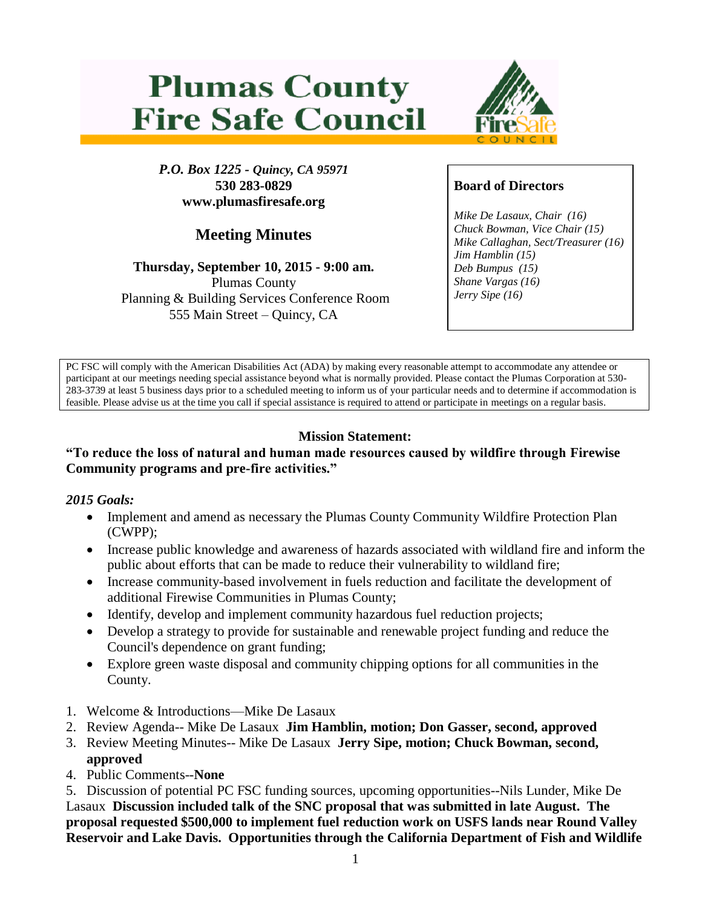# **Plumas County Fire Safe Council**



*P.O. Box 1225 - Quincy, CA 95971* **530 283-0829 www.plumasfiresafe.org**

# **Meeting Minutes**

#### **Thursday, September 10, 2015 - 9:00 am.** Plumas County Planning & Building Services Conference Room 555 Main Street – Quincy, CA

## **Board of Directors**

*Mike De Lasaux, Chair (16) Chuck Bowman, Vice Chair (15) Mike Callaghan, Sect/Treasurer (16) Jim Hamblin (15) Deb Bumpus (15) Shane Vargas (16) Jerry Sipe (16)* 

PC FSC will comply with the American Disabilities Act (ADA) by making every reasonable attempt to accommodate any attendee or participant at our meetings needing special assistance beyond what is normally provided. Please contact the Plumas Corporation at 530- 283-3739 at least 5 business days prior to a scheduled meeting to inform us of your particular needs and to determine if accommodation is feasible. Please advise us at the time you call if special assistance is required to attend or participate in meetings on a regular basis.

# **Mission Statement:**

#### **"To reduce the loss of natural and human made resources caused by wildfire through Firewise Community programs and pre-fire activities."**

#### *2015 Goals:*

- Implement and amend as necessary the Plumas County Community Wildfire Protection Plan (CWPP);
- Increase public knowledge and awareness of hazards associated with wildland fire and inform the public about efforts that can be made to reduce their vulnerability to wildland fire;
- Increase community-based involvement in fuels reduction and facilitate the development of additional Firewise Communities in Plumas County;
- Identify, develop and implement community hazardous fuel reduction projects;
- Develop a strategy to provide for sustainable and renewable project funding and reduce the Council's dependence on grant funding;
- Explore green waste disposal and community chipping options for all communities in the County.
- 1. Welcome & Introductions—Mike De Lasaux
- 2. Review Agenda-- Mike De Lasaux **Jim Hamblin, motion; Don Gasser, second, approved**
- 3. Review Meeting Minutes-- Mike De Lasaux **Jerry Sipe, motion; Chuck Bowman, second, approved**
- 4. Public Comments--**None**

5. Discussion of potential PC FSC funding sources, upcoming opportunities--Nils Lunder, Mike De Lasaux **Discussion included talk of the SNC proposal that was submitted in late August. The proposal requested \$500,000 to implement fuel reduction work on USFS lands near Round Valley Reservoir and Lake Davis. Opportunities through the California Department of Fish and Wildlife**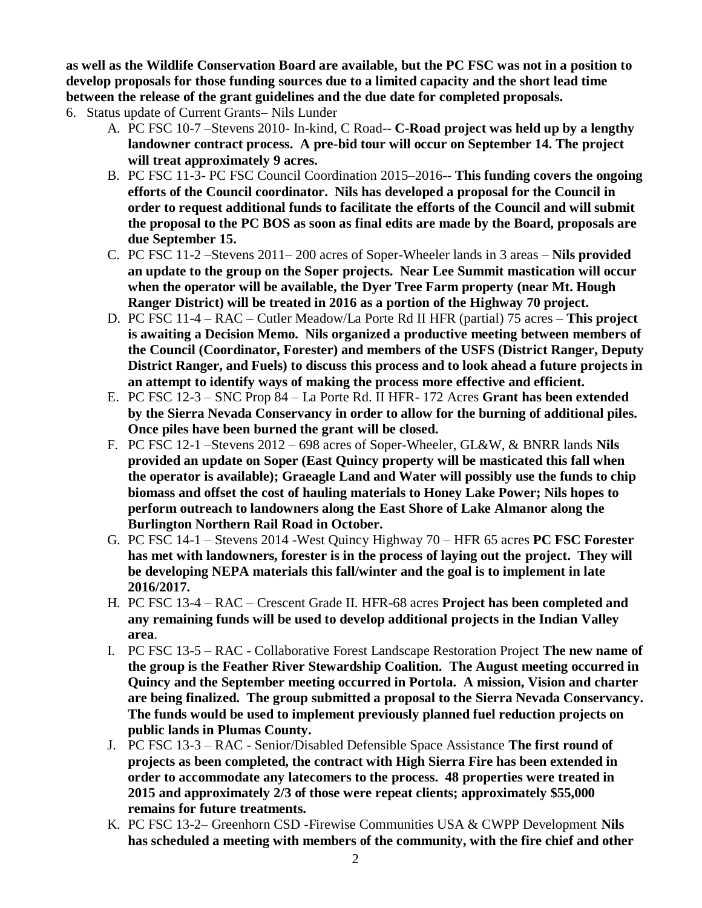**as well as the Wildlife Conservation Board are available, but the PC FSC was not in a position to develop proposals for those funding sources due to a limited capacity and the short lead time between the release of the grant guidelines and the due date for completed proposals.**

- 6. Status update of Current Grants– Nils Lunder
	- A. PC FSC 10-7 –Stevens 2010- In-kind, C Road-- **C-Road project was held up by a lengthy landowner contract process. A pre-bid tour will occur on September 14. The project will treat approximately 9 acres.**
	- B. PC FSC 11-3- PC FSC Council Coordination 2015–2016-- **This funding covers the ongoing efforts of the Council coordinator. Nils has developed a proposal for the Council in order to request additional funds to facilitate the efforts of the Council and will submit the proposal to the PC BOS as soon as final edits are made by the Board, proposals are due September 15.**
	- C. PC FSC 11-2 –Stevens 2011– 200 acres of Soper-Wheeler lands in 3 areas **Nils provided an update to the group on the Soper projects. Near Lee Summit mastication will occur when the operator will be available, the Dyer Tree Farm property (near Mt. Hough Ranger District) will be treated in 2016 as a portion of the Highway 70 project.**
	- D. PC FSC 11-4 RAC Cutler Meadow/La Porte Rd II HFR (partial) 75 acres **This project is awaiting a Decision Memo. Nils organized a productive meeting between members of the Council (Coordinator, Forester) and members of the USFS (District Ranger, Deputy District Ranger, and Fuels) to discuss this process and to look ahead a future projects in an attempt to identify ways of making the process more effective and efficient.**
	- E. PC FSC 12-3 SNC Prop 84 La Porte Rd. II HFR- 172 Acres **Grant has been extended by the Sierra Nevada Conservancy in order to allow for the burning of additional piles. Once piles have been burned the grant will be closed.**
	- F. PC FSC 12-1 –Stevens 2012 698 acres of Soper-Wheeler, GL&W, & BNRR lands **Nils provided an update on Soper (East Quincy property will be masticated this fall when the operator is available); Graeagle Land and Water will possibly use the funds to chip biomass and offset the cost of hauling materials to Honey Lake Power; Nils hopes to perform outreach to landowners along the East Shore of Lake Almanor along the Burlington Northern Rail Road in October.**
	- G. PC FSC 14-1 Stevens 2014 -West Quincy Highway 70 HFR 65 acres **PC FSC Forester has met with landowners, forester is in the process of laying out the project. They will be developing NEPA materials this fall/winter and the goal is to implement in late 2016/2017.**
	- H. PC FSC 13-4 RAC Crescent Grade II. HFR-68 acres **Project has been completed and any remaining funds will be used to develop additional projects in the Indian Valley area**.
	- I. PC FSC 13-5 RAC Collaborative Forest Landscape Restoration Project **The new name of the group is the Feather River Stewardship Coalition. The August meeting occurred in Quincy and the September meeting occurred in Portola. A mission, Vision and charter are being finalized. The group submitted a proposal to the Sierra Nevada Conservancy. The funds would be used to implement previously planned fuel reduction projects on public lands in Plumas County.**
	- J. PC FSC 13-3 RAC Senior/Disabled Defensible Space Assistance **The first round of projects as been completed, the contract with High Sierra Fire has been extended in order to accommodate any latecomers to the process. 48 properties were treated in 2015 and approximately 2/3 of those were repeat clients; approximately \$55,000 remains for future treatments.**
	- K. PC FSC 13-2– Greenhorn CSD -Firewise Communities USA & CWPP Development **Nils has scheduled a meeting with members of the community, with the fire chief and other**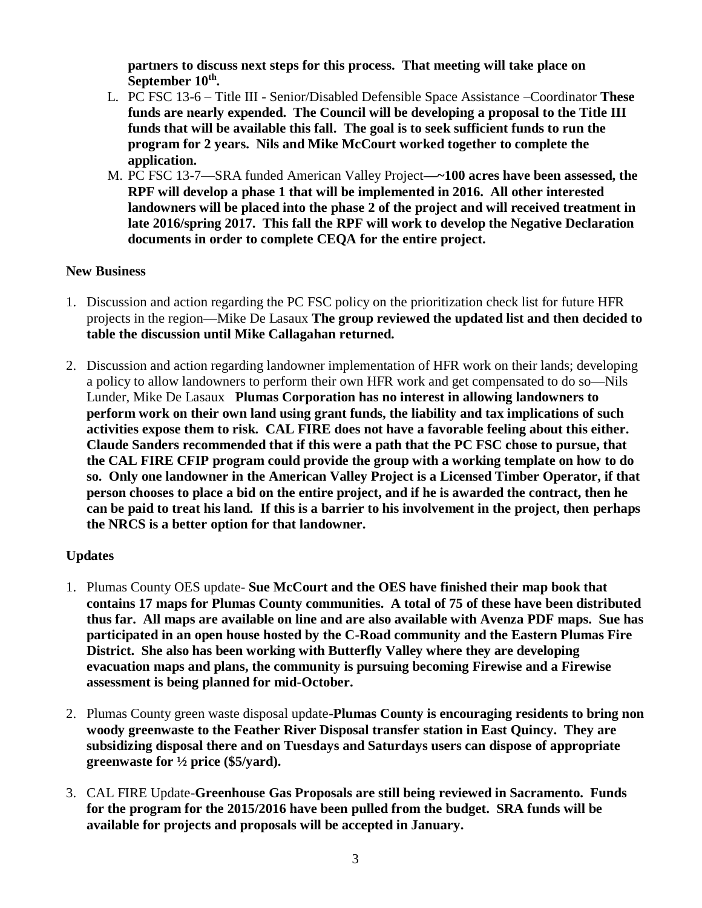**partners to discuss next steps for this process. That meeting will take place on September 10th .**

- L. PC FSC 13-6 Title III Senior/Disabled Defensible Space Assistance –Coordinator **These funds are nearly expended. The Council will be developing a proposal to the Title III funds that will be available this fall. The goal is to seek sufficient funds to run the program for 2 years. Nils and Mike McCourt worked together to complete the application.**
- M. PC FSC 13-7—SRA funded American Valley Project**—~100 acres have been assessed, the RPF will develop a phase 1 that will be implemented in 2016. All other interested landowners will be placed into the phase 2 of the project and will received treatment in late 2016/spring 2017. This fall the RPF will work to develop the Negative Declaration documents in order to complete CEQA for the entire project.**

#### **New Business**

- 1. Discussion and action regarding the PC FSC policy on the prioritization check list for future HFR projects in the region—Mike De Lasaux **The group reviewed the updated list and then decided to table the discussion until Mike Callagahan returned.**
- 2. Discussion and action regarding landowner implementation of HFR work on their lands; developing a policy to allow landowners to perform their own HFR work and get compensated to do so—Nils Lunder, Mike De Lasaux **Plumas Corporation has no interest in allowing landowners to perform work on their own land using grant funds, the liability and tax implications of such activities expose them to risk. CAL FIRE does not have a favorable feeling about this either. Claude Sanders recommended that if this were a path that the PC FSC chose to pursue, that the CAL FIRE CFIP program could provide the group with a working template on how to do so. Only one landowner in the American Valley Project is a Licensed Timber Operator, if that person chooses to place a bid on the entire project, and if he is awarded the contract, then he can be paid to treat his land. If this is a barrier to his involvement in the project, then perhaps the NRCS is a better option for that landowner.**

#### **Updates**

- 1. Plumas County OES update- **Sue McCourt and the OES have finished their map book that contains 17 maps for Plumas County communities. A total of 75 of these have been distributed thus far. All maps are available on line and are also available with Avenza PDF maps. Sue has participated in an open house hosted by the C-Road community and the Eastern Plumas Fire District. She also has been working with Butterfly Valley where they are developing evacuation maps and plans, the community is pursuing becoming Firewise and a Firewise assessment is being planned for mid-October.**
- 2. Plumas County green waste disposal update-**Plumas County is encouraging residents to bring non woody greenwaste to the Feather River Disposal transfer station in East Quincy. They are subsidizing disposal there and on Tuesdays and Saturdays users can dispose of appropriate greenwaste for ½ price (\$5/yard).**
- 3. CAL FIRE Update-**Greenhouse Gas Proposals are still being reviewed in Sacramento. Funds for the program for the 2015/2016 have been pulled from the budget. SRA funds will be available for projects and proposals will be accepted in January.**